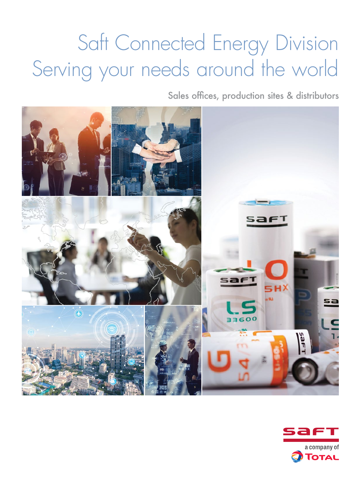# Saft Connected Energy Division Serving your needs around the world

Sales offices, production sites & distributors



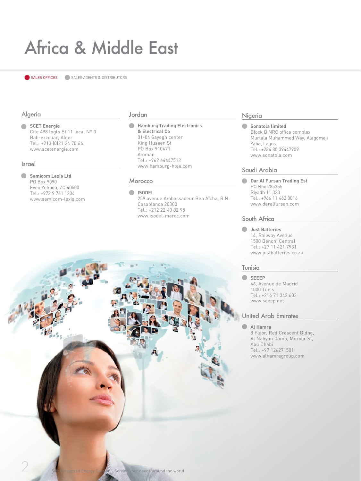## Africa & Middle East

SALES OFFICES SALES AGENTS & DISTRIBUTORS

#### Algeria

**SCET Energie**  Cite 498 logts Bt 11 local N° 3 Bab-ezzouar, Alger Tel.: +213 (0)21 24 70 66 www.scetenergie.com

#### Israel

**Semicom Lexis Ltd** PO Box 9090 Even Yehuda, ZC 40500 Tel.: +972 9 761 1234 www.semicom-lexis.com

#### Jordan

**Hamburg Trading Electronics & Electrical Co** 01-04 Sayegh center King Huseen St PO Box 910471 Amman Tel.: +962 64647512 www.hamburg-htee.com

#### Morocco

**ISODEL**

259 avenue Ambassadeur Ben Aïcha, R.N. Casablanca 20300 Tel.: +212 22 40 82 95 www.isodel-maroc.com

#### Nigeria

**Sonatola limited** Block B NRC office complex Murtala Muhammed Way, Alagomeji Yaba, Lagos Tel.: +234 80 39447909 www.sonatola.com

#### Saudi Arabia

**Dar Al Fursan Trading Est** PO Box 285355 Riyadh 11 323 Tel.: +966 11 462 0816 www.daralfursan.com

#### South Africa

**Just Batteries** 14, Railway Avenue 1500 Benoni Central Tel.: +27 11 421 7981 www.justbatteries.co.za

#### Tunisia

**SEEEP** 46, Avenue de Madrid 1000 Tunis Tel.: +216 71 342 602 www.seeep.net

#### United Arab Emirates

#### **Al Hamra**

8 Floor, Red Crescent Bldng, Al Nahyan Camp, Muroor St, Abu Dhabi Tel.: +97 126271501 www.alhamragroup.com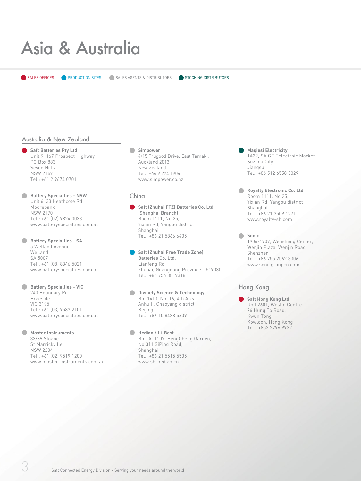### Asia & Australia

SALES OFFICES **PRODUCTION SITES** SALES AGENTS & DISTRIBUTORS

STOCKING DISTRIBUTORS

#### Australia & New Zealand

**Saft Batteries Pty Ltd**  Unit 9, 167 Prospect Highway PO Box 883 Seven Hills NSW 2147 Tel.: +61 2 9674 0701

- **Battery Specialties NSW**  Unit 6, 33 Heathcote Rd Moorebank NSW 2170 Tel.: +61 (02) 9824 0033 www.batteryspecialties.com.au
- **Battery Specialties SA** 5 Welland Avenue Welland SA 5007 Tel.: +61 (08) 8346 5021 www.batteryspecialties.com.au

#### **Battery Specialties - VIC** 240 Boundary Rd Braeside VIC 3195 Tel.: +61 (03) 9587 2101 www.batteryspecialties.com.au

#### **Master Instruments**

33/39 Sloane St Marrickville NSW 2204 Tel.: +61 (02) 9519 1200 www.master-instruments.com.au

#### **Simpower**

4/15 Trugood Drive, East Tamaki, Auckland 2013 New Zealand Tel.: +64 9 274 1904 www.simpower.co.nz

#### China

**Saft (Zhuhai FTZ) Batteries Co. Ltd** (Shanghai Branch) Room 1111, No.25, Yixian Rd, Yangpu district Shanghai Tel.: +86 21 5866 6405

#### **Saft (Zhuhai Free Trade Zone)**  Batteries Co. Ltd.

Lianfeng Rd, Zhuhai, Guangdong Province - 519030 Tel.: +86 756 8819318

#### **Divinely Science & Technology** Rm 1413, No. 16, 4th Area Anhuili, Chaoyang district Beijing Tel.: +86 10 8488 5609

**Hedian / Li-Best** Rm. A. 1107, HengCheng Garden, No.311 SiPing Road, Shanghai Tel.: +86 21 5515 5535 www.sh-hedian.cn

- **Maqiesi Electricity** 1A32, SAIGE Eelectrnic Market Suzhou City Jiangsu Tel.: +86 512 6558 3829
- **Royalty Electronic Co. Ltd** Room 1111, No.25, Yixian Rd, Yangpu district Shanghai Tel.: +86 21 3509 1271 www.royalty-sh.com
- $\blacksquare$ **Sonic** 1906-1907, Wensheng Center, Wenjin Plaza, Wenjin Road, Shenzhen Tel.: +86 755 2562 3306 www.sonicgroupcn.com

#### Hong Kong

**Saft Hong Kong Ltd** Unit 2601, Westin Centre 26 Hung To Road, Kwun Tong Kowloon, Hong Kong Tel.: +852 2796 9932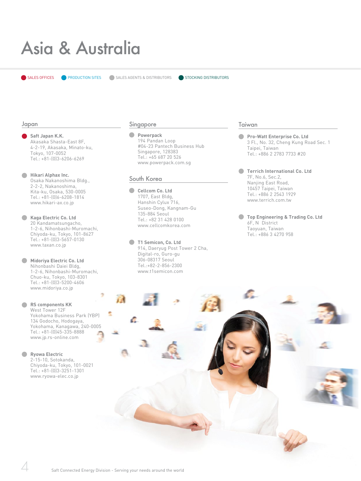### Asia & Australia

#### Japan

**Saft Japan K.K.**  Akasaka Shasta-East 8F, 4-2-19, Akasaka, Minato-ku, Tokyo, 107-0052 Tel.: +81-(0)3-6206-6269

**Hikari Alphax Inc.** Osaka Nakanoshima Bldg., 2-2-2, Nakanoshima, Kita-ku, Osaka, 530-0005 Tel.: +81-(0)6-6208-1814 www.hikari-ax.co.jp

**Kaga Electric Co. Ltd** 20 Kandamatsungacho, 1-2-6, Nihonbashi-Muromachi, Chiyoda-ku, Tokyo, 101-8627 Tel.: +81-(0)3-5657-0130 www.taxan.co.jp

**Midoriya Electric Co. Ltd** Nihonbashi Daiei Bldg, 1-2-6, Nihonbashi-Muromachi, Chuo-ku, Tokyo, 103-8301 Tel.: +81-(0)3-5200-4606 www.midoriya.co.jp

**RS components KK** West Tower 12F Yokohama Business Park (YBP) 134 Godocho, Hodogaya, Yokohama, Kanagawa, 240-0005 Tel.: +81-(0)45-335-8888

www.jp.rs-online.com

**Ryowa Electric** 2-15-10, Sotokanda, Chiyoda-ku, Tokyo, 101-0021 Tel.: +81-(0)3-3251-1301 www.ryowa-elec.co.jp

#### Singapore

#### **Powerpack**

194 Pandan Loop #04-23 Pantech Business Hub Singapore, 128383 Tel.: +65 687 20 526 www.powerpack.com.sg

#### South Korea

**Cellcom Co. Ltd** 1707, East Bldg, Hanshin Cylux 716, Suseo-Dong, Kangnam-Gu 135-884 Seoul Tel.: +82 31 428 0100 www.cellcomkorea.com

**T1 Semicon, Co. Ltd** 914, Daeryug Post Tower 2 Cha, Digital-ro, Guro-gu 306-08317 Seoul Tel.:+82-2-856-2300 www.t1semicon.com

#### Taiwan

£.

**Pro-Watt Enterprise Co. Ltd** 3 Fl., No. 32, Cheng Kung Road Sec. 1 Taipei, Taiwan Tel.: +886 2 2783 7733 #20

**Terrich International Co. Ltd** 7F, No.6, Sec.2, Nanjing East Road, 10457 Taipei, Taiwan Tel.: +886 2 2543 1929 www.terrich.com.tw

**Top Engineering & Trading Co. Ltd** 6F, N District Taoyuan, Taiwan Tel.: +886 3 4270 958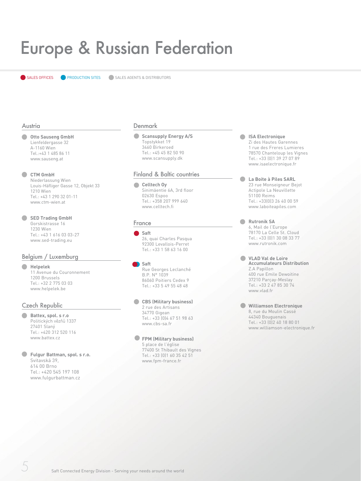### Europe & Russian Federation

**SALES OFFICES CORPODUCTION SITES CONSTALES AGENTS & DISTRIBUTORS** 

#### Austria

#### **Otto Sauseng GmbH** Lienfeldergasse 32

A-1160 Wien Tel.:+43 1 485 86 11 www.sauseng.at

#### **CTM GmbH**

Niederlassung Wien Louis-Häfliger Gasse 12, Objekt 33 1210 Wien Tel.: +43 1 290 32 01-11 www.ctm-wien.at

#### **SED Trading GmbH**

Gorskistrasse 16 1230 Wien Tel.: +43 1 616 03 03-27 www.sed-trading.eu

#### Belgium / Luxemburg

#### **Helpelek**

11 Avenue du Couronnement 1200 Brussels Tel.: +32 2 775 03 03 www.helpelek.be

#### Czech Republic

- **Battex, spol. s r.o**  Politických vězňů 1337 27401 Slaný Tel.: +420 312 520 116 www.battex.cz
- **Fulgur Battman, spol. s r.o.** Svitavská 39, 614 00 Brno Tel.: +420 545 197 108

www.fulgurbattman.cz

#### Denmark

#### **Scansupply Energy A/S** Topstykket 19 3460 Birkeroed Tel.: +45 45 82 50 90

www.scansupply.dk

#### Finland & Baltic countries

Celltech Oy Sinimäentie 6A, 3rd floor 02630 Espoo Tel.: +358 207 999 640 www.celltech.fi

#### France

#### **Saft**

26, quai Charles Pasqua 92300 Levallois-Perret Tel.: +33 1 58 63 16 00

#### **Saft**

Rue Georges Leclanché B.P. N° 1039 86060 Poitiers Cedex 9 Tel.: +33 5 49 55 48 48

#### **CBS (Military business)**

2 rue des Artisans 34770 Gigean Tel.: +33 (0)4 67 51 98 63

www.cbs-sa.fr

### **FPM (Military business)**

5 place de l'église 77400 St Thibault des Vignes Tel.: +33 (0)1 60 35 42 51 www.fpm-france.fr

#### **ISA Electronique**  Zi des Hautes Garennes 1 rue des Freres Lumieres 78570 Chanteloup les Vignes Tel.: +33 (0)1 39 27 07 89 www.isaelectronique.fr

#### **La Boite à Piles SARL** 23 rue Monseigneur Bejot Actipole La Neuvillette 51100 Reims Tel.: +33(0)3 26 40 00 59 www.laboiteapiles.com

**Rutronik SA**  6, Mail de l'Europe 78170 La Celle St. Cloud Tel.: +33 (0)1 30 08 33 77 www.rutronik.com

**VLAD Val de Loire Accumulateurs Distribution** Z.A Papillon 400 rue Emile Dewoitine 37210 Parçay-Meslay Tel.: +33 2 47 85 30 74 www.vlad.fr

**Williamson Electronique**  8, rue du Moulin Cassé 44340 Bouguenais Tel.: +33 (0)2 40 18 80 01 www.williamson-electronique.fr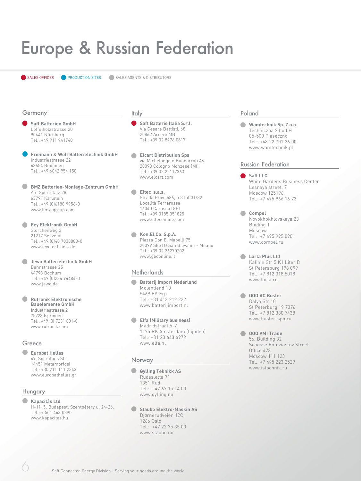### Europe & Russian Federation

**SALES OFFICES CORPORATION SITES CONSTALES AGENTS & DISTRIBUTORS** 

#### Germany

**Saft Batterien GmbH**  Löffelholzstrasse 20 90441 Nürnberg Tel.: +49 911 941740

**Friemann & Wolf Batterietechnik GmbH**  Industriestrasse 22 63654 Büdingen Tel.: +49 6042 954 150

 $\blacksquare$ **BMZ Batterien-Montage-Zentrum GmbH** Am Sportplatz 28 63791 Karlstein Tel.: +49 (0)6188 9956-0 www.bmz-group.com

**Fey Elektronik GmbH**  Storchenweg 3 21217 Seevetal Tel.: +49 (0)40 7038888-0 www.feyelektronik.de

**Jewo Batterietechnik GmbH**  Bahnstrasse 25 44793 Bochum Tel.: +49 (0)234 94484-0 www.jewo.de

 $\sqrt{2}$ **Rutronik Elektronische Bauelemente GmbH** Industriestrasse 2 75228 Ispringen Tel.: +49 (0) 7231 801-0 www.rutronik.com

#### Greece

**Eurobat Hellas** 49, Socratous Str. 14451 Metamorfosi Tel.: +30 211 111 2343 www.eurobathellas.gr

#### Hungary

**Kapacitás Ltd** 

H-1115. Budapest, Szentpétery u. 24-26. Tel.: +36 1 463 0890 www.kapacitas.hu

#### Italy

**Saft Batterie Italia S.r.l.**  Via Cesare Battisti, 68 20862 Arcore MB Tel.: +39 02 8976 0817

**Elcart Distribution Spa**  via Michelangelo Buonarroti 46 20093 Cologno Monzese (MI) Tel.: +39 02 25117363 www.elcart.com

 $\Box$ **Eltec s.a.s.**  Strada Prov. 586, n.3 Int.31/32 Località Terrarossa 16040 Carasco (GE) Tel.: +39 0185 351825 www.elteconline.com

**Kon.El.Co. S.p.A.** Piazza Don E. Mapelli 75 20099 SESTO San Giovanni - Milano Tel.: +39 02 26270202 www.gbconline.it

#### **Netherlands**

**Batterij Import Nederland** Molentiend 10 5469 EK Erp Tel.: +31 413 212 222 www.batterijimport.nl

**Elfa (Military business)** Madridstraat 5-7 1175 RK Amsterdam (Lijnden) Tel.: +31 20 643 6972 www.elfa.nl

#### Norway

#### **Gylling Teknikk AS**

Rudssletta 71 1351 Rud Tel.: + 47 67 15 14 00 www.gylling.no

#### **Staubo Elektro-Maskin AS**

Bjørnerudveien 12C 1266 Oslo Tel.: +47 22 75 35 00 www.staubo.no

#### Poland

**Wamtechnik Sp. Z o.o.** Techniczna 2 bud.H 05-500 Piaseczno Tel.: +48 22 701 26 00 www.wamtechnik.pl

#### Russian Federation

- **Saft LLC** White Gardens Business Center Lesnaya street, 7 Moscow 125196 Tel.: +7 495 966 16 73
- **Compel** Novokhokhlovskaya 23 Buiding 1 Moscow Tel.: +7 495 995 0901 www.compel.ru
- **Larta Plus Ltd** Kalinin Str 5 K1 Liter B St Petersburg 198 099 Tel.: +7 812 318 5018 www.larta.ru

**OOO AC Buster** Dalya Str 10 St Peterburg 19 7376 Tel.: +7 812 380 7438 www.buster-spb.ru

**OOO VMI Trade** 56, Building 32 Schosse Entuziastov Street Office 473 Moscow 111 123 Tel.: +7 495 223 2529 www.istochnik.ru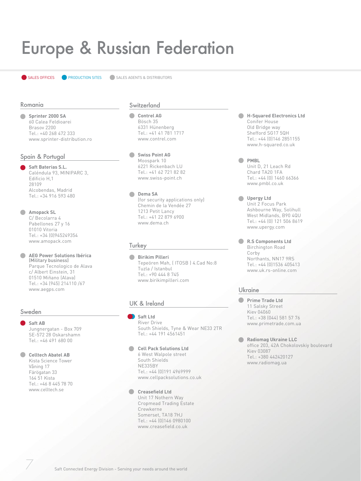### Europe & Russian Federation

**SALES OFFICES CORPODUCTION SITES CONSIDERED SALES AGENTS & DISTRIBUTORS** 

#### Romania

**Sprinter 2000 SA** 60 Calea Feldioarei Brasov 2200 Tel.: +40 268 472 333 www.sprinter-distribution.ro

#### Spain & Portugal

**Saft Baterias S.L.**  Caléndula 93, MINIPARC 3, Edificio H,1 28109 Alcobendas, Madrid Tel.: +34 916 593 480

#### **Amopack SL**

C/ Becolarra 4 Pabellones 27 y 16 01010 Vitoria Tel.: +34 (0)945249354 www.amopack.com

**AEG Power Solutions Ibérica**   $\blacksquare$ (Military business) Parque Tecnologico de Alava c/ Albert Einstein, 31 01510 Miñano (Alava) Tel.: +34 (945) 214110 /67 www.aegps.com

#### Sweden

**Saft AB**  Jungnergatan - Box 709 SE-572 28 Oskarshamn Tel.: +46 491 680 00

#### **Celltech Abatel AB**

Kista Science Tower Våning 17 Färögatan 33 164 51 Kista Tel.: +46 8 445 78 70 www.celltech.se

#### **Switzerland**

- **Contrel AG** Bösch 35 6331 Hünenberg Tel.: +41 41 781 1717 www.contrel.com
- **Swiss Point AG** Moospark 10 6221 Rickenbach LU Tel.: +41 62 721 82 82 www.swiss-point.ch

**Dema SA** (for security applications only) Chemin de la Vendée 27 1213 Petit Lancy Tel.: +41 22 879 6900 www.dema.ch

#### **Turkey**

**Birikim Pilleri** Tepeören Mah, ( ITOSB ) 4.Cad No:8 Tuzla / Istanbul Tel.: +90 444 8 745 www.birikimpilleri.com

#### UK & Ireland

**Saft Ltd**  River Drive South Shields, Tyne & Wear NE33 2TR Tel.: +44 191 4561451

**Cell Pack Solutions Ltd**  6 West Walpole street South Shields NE335BY Tel.: +44 (0)191 4969999 www.cellpacksolutions.co.uk

#### **Creasefield Ltd**

Unit 17 Nothern Way Cropmead Trading Estate Crewkerne Somerset, TA18 7HJ Tel.: +44 (0)146 0980100 www.creasefield.co.uk

- $\blacksquare$ **H-Squared Electronics Ltd** Conifer House Old Bridge way Shefford SG17 5QH Tel.: +44 (0)146 2851155 www.h-squared.co.uk
- **PMBL** Unit D, 21 Leach Rd Chard TA20 1FA Tel.: +44 (0) 1460 66366 www.pmbl.co.uk
- **Upergy Ltd** Unit 2 Focus Park Ashbourne Way, Solihull West Midlands, B90 4QU Tel.: +44 (0) 121 506 8619 www.upergy.com

**R.S Components Ltd** Birchington Road Corby Northants, NN17 9RS Tel.: +44 (0)1536 405413 www.uk.rs-online.com

#### Ukraine

- **Prime Trade Ltd** 11 Salsky Street Kiev 04060 Tel.: +38 (044) 581 57 76 www.primetrade.com.ua
- **Radiomag Ukraine LLC** office 203, 42A Chokolovskiy boulevard Kiev 03087 Tel.: +380 442420127 www.radiomag.ua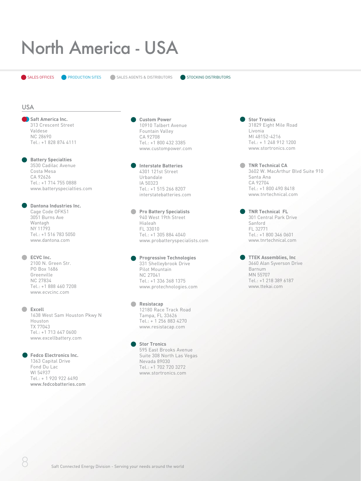## North America - USA

 $\bullet$  SALES OFFICES  $\bullet$  PRODUCTION SITES  $\bullet$  SALES AGENTS & DISTRIBUTORS  $\bullet$  STOCKING DISTRIBUTORS

#### USA

**Saft America Inc.**  313 Crescent Street Valdese NC 28690 Tel.: +1 828 874 4111

**Battery Specialties** 3530 Cadilac Avenue Costa Mesa CA 92626 Tel.: +1 714 755 0888 www.batteryspecialties.com

**Dantona Industries Inc.** Cage Code OFKS1 3051 Burns Ave Wantagh NY 11793 Tel.: +1 516 783 5050 www.dantona.com

**ECVC** Inc. 2100 N. Green Str. PO Box 1686 Greenville NC 27834 Tel.: +1 888 460 7208 www.ecvcinc.com

**Excell** 1638 West Sam Houston Pkwy N Houston TX 77043 Tel.: +1 713 647 0600 www.excellbattery.com

#### **Fedco Electronics Inc.**

1363 Capital Drive Fond Du Lac WI 54937 Tel.: + 1 920 922 6490 www.fedcobatteries.com **Custom Power** 10910 Talbert Avenue Fountain Valley CA 92708 Tel.: +1 800 432 3385 www.custompower.com

**Interstate Batteries** 4301 121st Street Urbandale IA 50323 Tel.: +1 515 266 8207 interstatebatteries.com

**Pro Battery Specialists** 940 West 19th Street Hialeah FL 33010 Tel.: +1 305 884 4040 www.probatteryspecialists.com

**Progressive Technologies** 331 Shelleybrook Drive Pilot Mountain NC 27041 Tel.: +1 336 368 1375 www.protechnologies.com

**Resistacap** 12180 Race Track Road Tampa, FL 33626 Tel.: + 1 256 883 4270 www.resistacap.com

> **Stor Tronics** 595 East Brooks Avenue Suite 308 North Las Vegas Nevada 89030 Tel.: +1 702 720 3272 www.stortronics.com

**Stor Tronics** 31829 Eight Mile Road Livonia MI 48152-4216 Tel.: + 1 248 912 1200 www.stortronics.com

**TNR Technical CA** 3602 W. MacArthur Blvd Suite 910 Santa Ana CA 92704 Tel.: +1 800 490 8418 www.tnrtechnical.com

**TNR Technical FL** 301 Central Park Drive Sanford FL 32771 Tel.: +1 800 346 0601 www.tnrtechnical.com

**TTEK Assemblies, Inc** 3660 Alan Syverson Drive Barnum MN 55707 Tel.: +1 218 389 6187 www.ttekai.com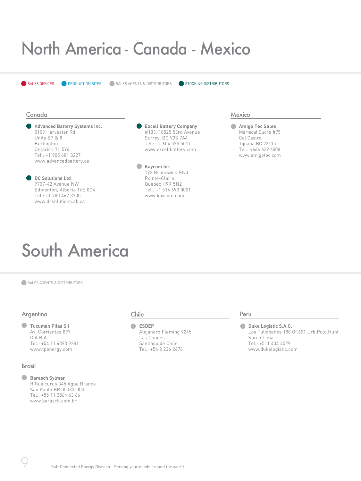### North America - Canada - Mexico

SALES OFFICES **CORPORAGEMENT OF SALES AGENTS & DISTRIBUTORS** STOCKING DISTRIBUTORS

#### Canada

**Advanced Battery Systems Inc.** 5109 Harvester Rd. Units B7 & 8 Burlington Ontario L7L 5Y4 Tel.: +1 905 681 8227 www.advancedbattery.ca

**DC Solutions Ltd** 9707-42 Avenue NW Edmonton, Alberta T6E 0C4 Tel.: +1 780 462 3700 www.dcsolutions.ab.ca

**Excell Battery Company** #133, 18525 53rd Avenue Surrey, BC V3S 7A4 Tel.: +1 604 575 5011 www.excellbattery.com

 $\bullet$ **Kaycom Inc.** 193 Brunswick Blvd. Pointe-Claire Quebec H9R 5N2 Tel.: +1 514 693 0001 www.kaycom.com

#### **Mexico**

**Amigo Tec Sales** Mariscal Sucre #75 Col Castro Tijuana BC 22115 Tel.: +664 629 6008 www.amigotec.com

### South America

SALES AGENTS & DISTRIBUTORS

#### Argentina

**Tucumàn Pilas Sil** Av. Corrientes 897 C.A.B.A. Tel.: +54 11 4393 9281 www.tpenergy.com

#### Brasil

**Barasch Sylmar** R.Guaicurus 345 Agua Branca Sao Paulo BR 05033-000 Tel.: +55 11 3864 63 66 www.barasch.com.br

#### Chile

**ESDEP** Alejandro Fleming 9245 Las Condes Santiago de Chile Tel.: +56 2 226 2476

#### Peru

**Duke Logistic S.A.C.** Los Tuliopanes 188 Of.601 Urb.Polo.Hunt Surco Lima Tel.: +511 434 4029 www.dukelogistic.com